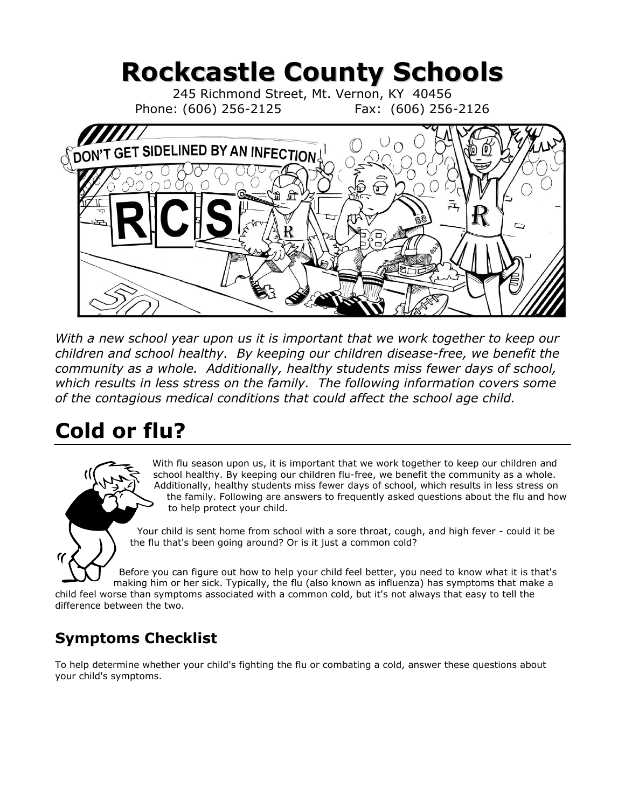# **Rockcastle County Schools**

245 Richmond Street, Mt. Vernon, KY 40456 Phone: (606) 256-2125 Fax: (606) 256-2126



With a new school year upon us it is important that we work together to keep our *children and school healthy. By keeping our children disease-free, we benefit the community as a whole. Additionally, healthy students miss fewer days of school, which results in less stress on the family. The following information covers some of the contagious medical conditions that could affect the school age child.*

## **Cold or flu?**

With flu season upon us, it is important that we work together to keep our children and school healthy. By keeping our children flu-free, we benefit the community as a whole. Additionally, healthy students miss fewer days of school, which results in less stress on the family. Following are answers to frequently asked questions about the flu and how to help protect your child.

Your child is sent home from school with a sore throat, cough, and high fever - could it be the flu that's been going around? Or is it just a common cold?

Before you can figure out how to help your child feel better, you need to know what it is that's making him or her sick. Typically, the flu (also known as influenza) has symptoms that make a child feel worse than symptoms associated with a common cold, but it's not always that easy to tell the

difference between the two.

### **Symptoms Checklist**

To help determine whether your child's fighting the flu or combating a cold, answer these questions about your child's symptoms.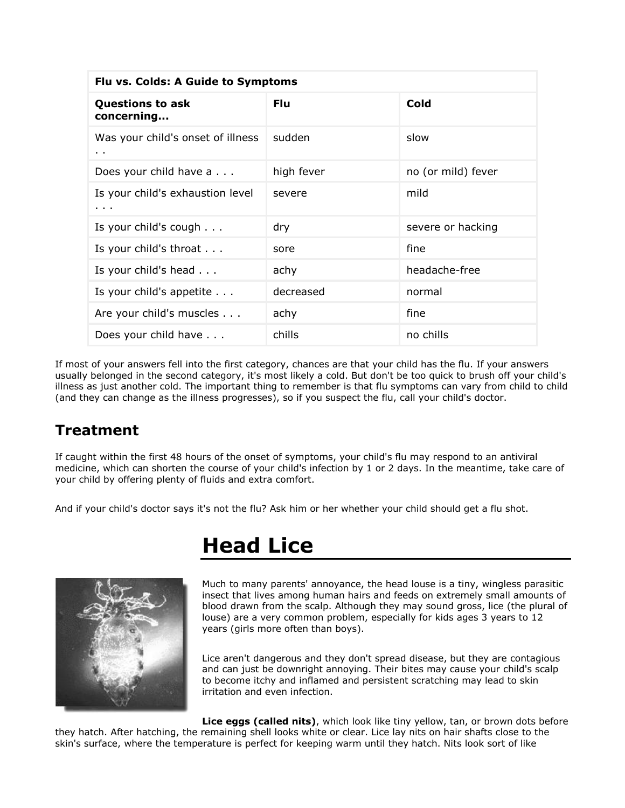| Flu vs. Colds: A Guide to Symptoms                |            |                    |
|---------------------------------------------------|------------|--------------------|
| <b>Questions to ask</b><br>concerning             | <b>Flu</b> | Cold               |
| Was your child's onset of illness<br>$\mathbf{r}$ | sudden     | slow               |
| Does your child have a                            | high fever | no (or mild) fever |
| Is your child's exhaustion level<br>$\cdots$      | severe     | mild               |
| Is your child's cough $\ldots$                    | dry        | severe or hacking  |
| Is your child's throat                            | sore       | fine               |
| Is your child's head                              | achy       | headache-free      |
| Is your child's appetite                          | decreased  | normal             |
| Are your child's muscles                          | achy       | fine               |
| Does your child have                              | chills     | no chills          |

If most of your answers fell into the first category, chances are that your child has the flu. If your answers usually belonged in the second category, it's most likely a cold. But don't be too quick to brush off your child's illness as just another cold. The important thing to remember is that flu symptoms can vary from child to child (and they can change as the illness progresses), so if you suspect the flu, call your child's doctor.

#### **Treatment**

If caught within the first 48 hours of the onset of symptoms, your child's flu may respond to an antiviral medicine, which can shorten the course of your child's infection by 1 or 2 days. In the meantime, take care of your child by offering plenty of fluids and extra comfort.

And if your child's doctor says it's not the flu? Ask him or her whether your child should get a flu shot.



### **Head Lice**

Much to many parents' annoyance, the head louse is a tiny, wingless parasitic insect that lives among human hairs and feeds on extremely small amounts of blood drawn from the scalp. Although they may sound gross, lice (the plural of louse) are a very common problem, especially for kids ages 3 years to 12 years (girls more often than boys).

Lice aren't dangerous and they don't spread disease, but they are contagious and can just be downright annoying. Their bites may cause your child's scalp to become itchy and inflamed and persistent scratching may lead to skin irritation and even infection.

**Lice eggs (called nits)**, which look like tiny yellow, tan, or brown dots before they hatch. After hatching, the remaining shell looks white or clear. Lice lay nits on hair shafts close to the skin's surface, where the temperature is perfect for keeping warm until they hatch. Nits look sort of like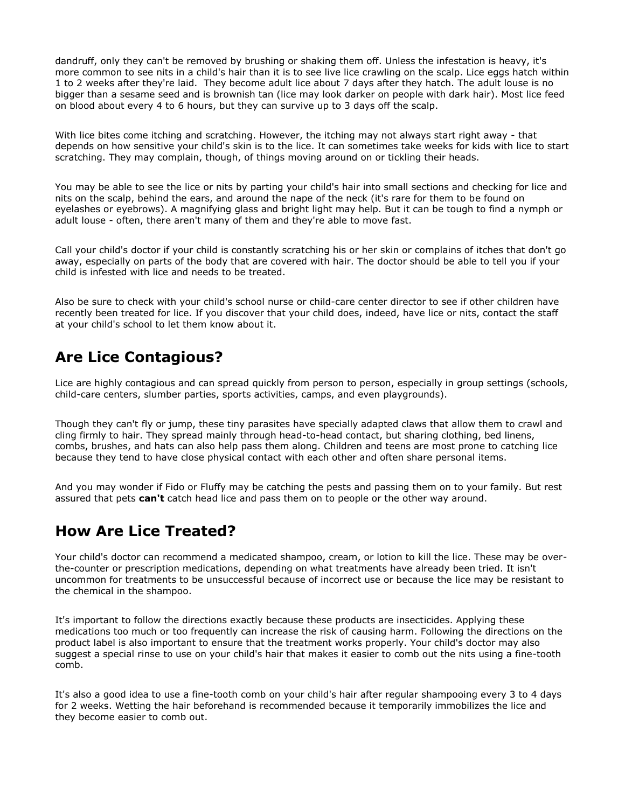dandruff, only they can't be removed by brushing or shaking them off. Unless the infestation is heavy, it's more common to see nits in a child's hair than it is to see live lice crawling on the scalp. Lice eggs hatch within 1 to 2 weeks after they're laid. They become adult lice about 7 days after they hatch. The adult louse is no bigger than a sesame seed and is brownish tan (lice may look darker on people with dark hair). Most lice feed on blood about every 4 to 6 hours, but they can survive up to 3 days off the scalp.

With lice bites come itching and scratching. However, the itching may not always start right away - that depends on how sensitive your child's skin is to the lice. It can sometimes take weeks for kids with lice to start scratching. They may complain, though, of things moving around on or tickling their heads.

You may be able to see the lice or nits by parting your child's hair into small sections and checking for lice and nits on the scalp, behind the ears, and around the nape of the neck (it's rare for them to be found on eyelashes or eyebrows). A magnifying glass and bright light may help. But it can be tough to find a nymph or adult louse - often, there aren't many of them and they're able to move fast.

Call your child's doctor if your child is constantly scratching his or her skin or complains of itches that don't go away, especially on parts of the body that are covered with hair. The doctor should be able to tell you if your child is infested with lice and needs to be treated.

Also be sure to check with your child's school nurse or child-care center director to see if other children have recently been treated for lice. If you discover that your child does, indeed, have lice or nits, contact the staff at your child's school to let them know about it.

#### **Are Lice Contagious?**

Lice are highly contagious and can spread quickly from person to person, especially in group settings (schools, child-care centers, slumber parties, sports activities, camps, and even playgrounds).

Though they can't fly or jump, these tiny parasites have specially adapted claws that allow them to crawl and cling firmly to hair. They spread mainly through head-to-head contact, but sharing clothing, bed linens, combs, brushes, and hats can also help pass them along. Children and teens are most prone to catching lice because they tend to have close physical contact with each other and often share personal items.

And you may wonder if Fido or Fluffy may be catching the pests and passing them on to your family. But rest assured that pets **can't** catch head lice and pass them on to people or the other way around.

#### **How Are Lice Treated?**

Your child's doctor can recommend a medicated shampoo, cream, or lotion to kill the lice. These may be overthe-counter or prescription medications, depending on what treatments have already been tried. It isn't uncommon for treatments to be unsuccessful because of incorrect use or because the lice may be resistant to the chemical in the shampoo.

It's important to follow the directions exactly because these products are insecticides. Applying these medications too much or too frequently can increase the risk of causing harm. Following the directions on the product label is also important to ensure that the treatment works properly. Your child's doctor may also suggest a special rinse to use on your child's hair that makes it easier to comb out the nits using a fine-tooth comb.

It's also a good idea to use a fine-tooth comb on your child's hair after regular shampooing every 3 to 4 days for 2 weeks. Wetting the hair beforehand is recommended because it temporarily immobilizes the lice and they become easier to comb out.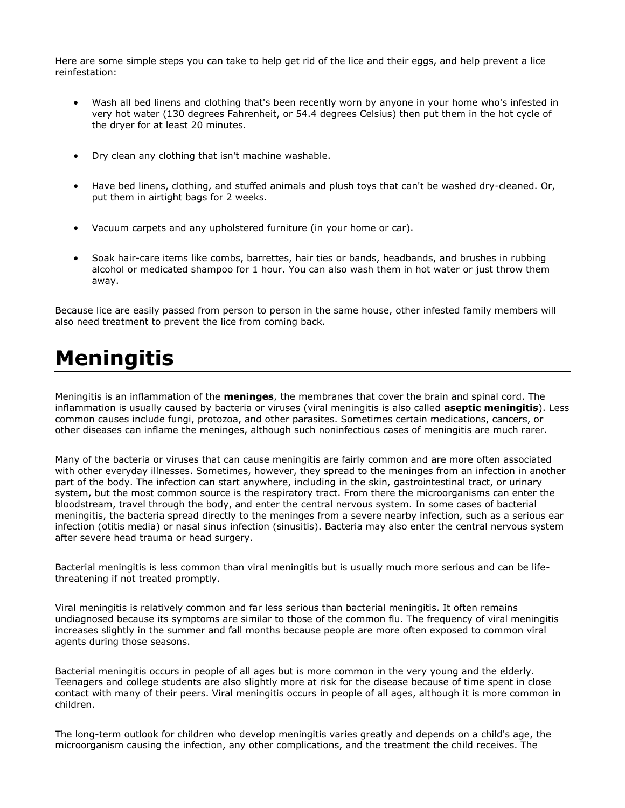Here are some simple steps you can take to help get rid of the lice and their eggs, and help prevent a lice reinfestation:

- Wash all bed linens and clothing that's been recently worn by anyone in your home who's infested in very hot water (130 degrees Fahrenheit, or 54.4 degrees Celsius) then put them in the hot cycle of the dryer for at least 20 minutes.
- Dry clean any clothing that isn't machine washable.
- Have bed linens, clothing, and stuffed animals and plush toys that can't be washed dry-cleaned. Or, put them in airtight bags for 2 weeks.
- Vacuum carpets and any upholstered furniture (in your home or car).
- Soak hair-care items like combs, barrettes, hair ties or bands, headbands, and brushes in rubbing alcohol or medicated shampoo for 1 hour. You can also wash them in hot water or just throw them away.

Because lice are easily passed from person to person in the same house, other infested family members will also need treatment to prevent the lice from coming back.

## **Meningitis**

Meningitis is an inflammation of the **meninges**, the membranes that cover the brain and spinal cord. The inflammation is usually caused by bacteria or viruses (viral meningitis is also called **aseptic meningitis**). Less common causes include fungi, protozoa, and other parasites. Sometimes certain medications, cancers, or other diseases can inflame the meninges, although such noninfectious cases of meningitis are much rarer.

Many of the bacteria or viruses that can cause meningitis are fairly common and are more often associated with other everyday illnesses. Sometimes, however, they spread to the meninges from an infection in another part of the body. The infection can start anywhere, including in the skin, gastrointestinal tract, or urinary system, but the most common source is the respiratory tract. From there the microorganisms can enter the bloodstream, travel through the body, and enter the central nervous system. In some cases of bacterial meningitis, the bacteria spread directly to the meninges from a severe nearby infection, such as a serious ear infection (otitis media) or nasal sinus infection (sinusitis). Bacteria may also enter the central nervous system after severe head trauma or head surgery.

Bacterial meningitis is less common than viral meningitis but is usually much more serious and can be lifethreatening if not treated promptly.

Viral meningitis is relatively common and far less serious than bacterial meningitis. It often remains undiagnosed because its symptoms are similar to those of the common flu. The frequency of viral meningitis increases slightly in the summer and fall months because people are more often exposed to common viral agents during those seasons.

Bacterial meningitis occurs in people of all ages but is more common in the very young and the elderly. Teenagers and college students are also slightly more at risk for the disease because of time spent in close contact with many of their peers. Viral meningitis occurs in people of all ages, although it is more common in children.

The long-term outlook for children who develop meningitis varies greatly and depends on a child's age, the microorganism causing the infection, any other complications, and the treatment the child receives. The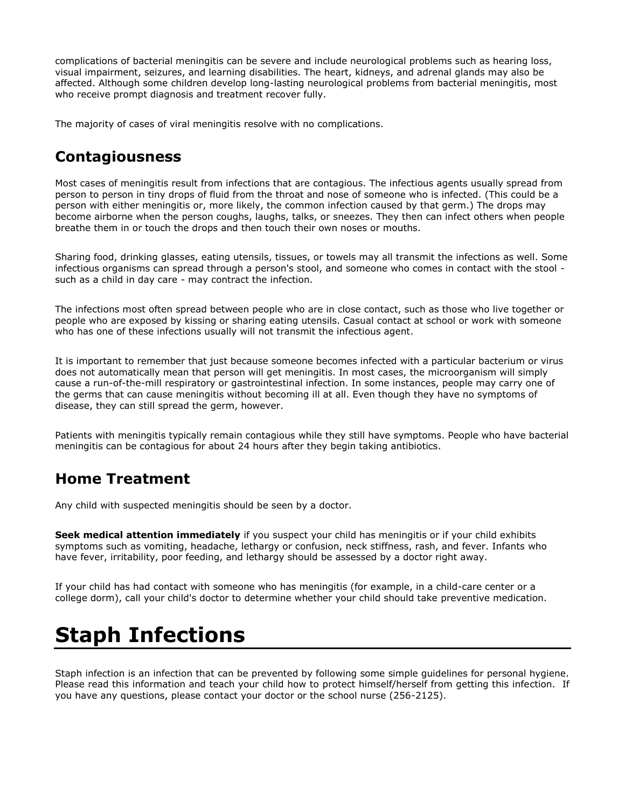complications of bacterial meningitis can be severe and include neurological problems such as hearing loss, visual impairment, seizures, and learning disabilities. The heart, kidneys, and adrenal glands may also be affected. Although some children develop long-lasting neurological problems from bacterial meningitis, most who receive prompt diagnosis and treatment recover fully.

The majority of cases of viral meningitis resolve with no complications.

#### **Contagiousness**

Most cases of meningitis result from infections that are contagious. The infectious agents usually spread from person to person in tiny drops of fluid from the throat and nose of someone who is infected. (This could be a person with either meningitis or, more likely, the common infection caused by that germ.) The drops may become airborne when the person coughs, laughs, talks, or sneezes. They then can infect others when people breathe them in or touch the drops and then touch their own noses or mouths.

Sharing food, drinking glasses, eating utensils, tissues, or towels may all transmit the infections as well. Some infectious organisms can spread through a person's stool, and someone who comes in contact with the stool such as a child in day care - may contract the infection.

The infections most often spread between people who are in close contact, such as those who live together or people who are exposed by kissing or sharing eating utensils. Casual contact at school or work with someone who has one of these infections usually will not transmit the infectious agent.

It is important to remember that just because someone becomes infected with a particular bacterium or virus does not automatically mean that person will get meningitis. In most cases, the microorganism will simply cause a run-of-the-mill respiratory or gastrointestinal infection. In some instances, people may carry one of the germs that can cause meningitis without becoming ill at all. Even though they have no symptoms of disease, they can still spread the germ, however.

Patients with meningitis typically remain contagious while they still have symptoms. People who have bacterial meningitis can be contagious for about 24 hours after they begin taking antibiotics.

#### **Home Treatment**

Any child with suspected meningitis should be seen by a doctor.

**Seek medical attention immediately** if you suspect your child has meningitis or if your child exhibits symptoms such as vomiting, headache, lethargy or confusion, neck stiffness, rash, and fever. Infants who have fever, irritability, poor feeding, and lethargy should be assessed by a doctor right away.

If your child has had contact with someone who has meningitis (for example, in a child-care center or a college dorm), call your child's doctor to determine whether your child should take preventive medication.

## **Staph Infections**

Staph infection is an infection that can be prevented by following some simple guidelines for personal hygiene. Please read this information and teach your child how to protect himself/herself from getting this infection. If you have any questions, please contact your doctor or the school nurse (256-2125).